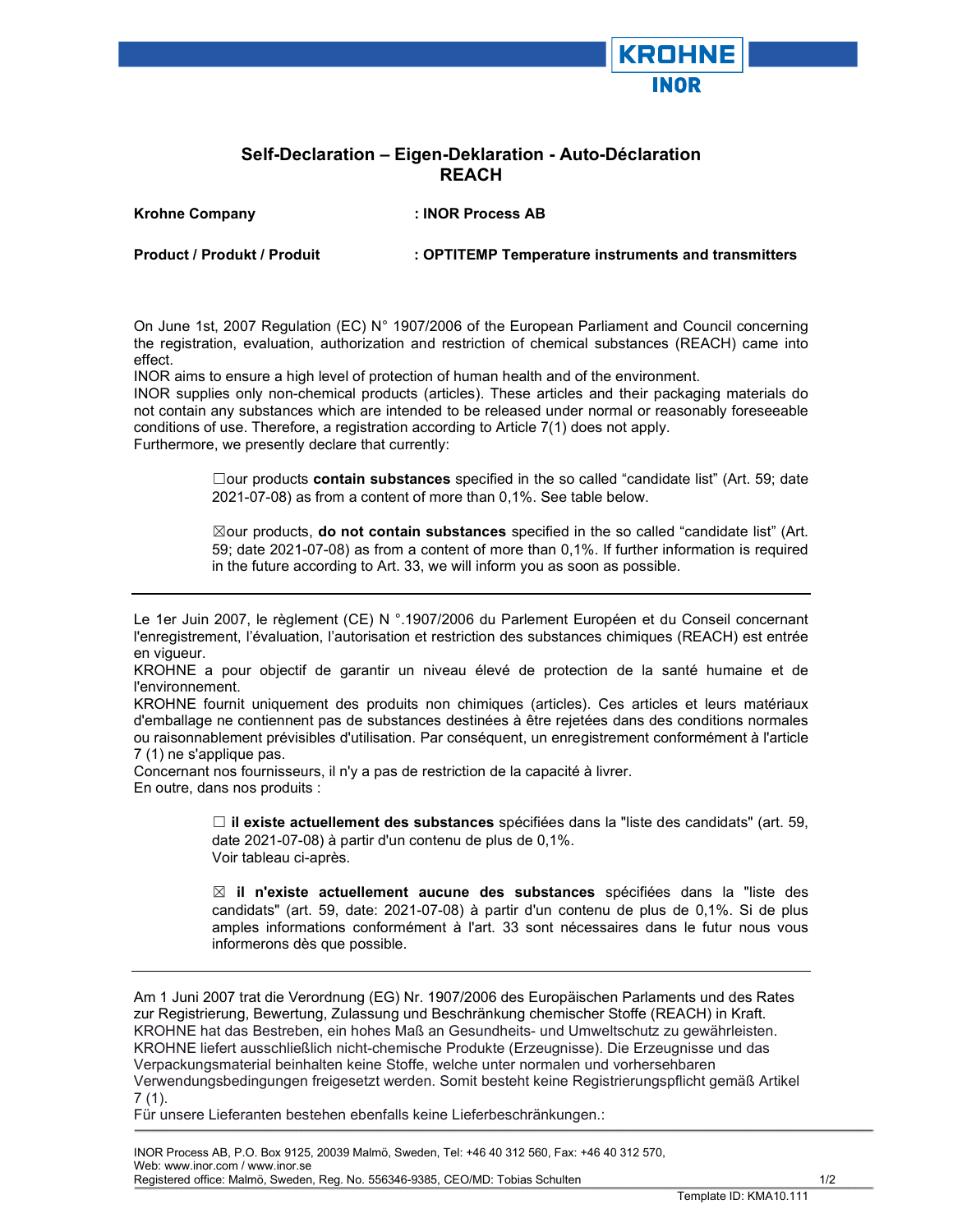## Self-Declaration – Eigen-Deklaration - Auto-Déclaration REACH

Krohne Company : INOR Process AB

Product / Produkt / Produit : OPTITEMP Temperature instruments and transmitters

**KROHNE** 

On June 1st, 2007 Regulation (EC) N° 1907/2006 of the European Parliament and Council concerning the registration, evaluation, authorization and restriction of chemical substances (REACH) came into effect.

INOR aims to ensure a high level of protection of human health and of the environment.

INOR supplies only non-chemical products (articles). These articles and their packaging materials do not contain any substances which are intended to be released under normal or reasonably foreseeable conditions of use. Therefore, a registration according to Article 7(1) does not apply. Furthermore, we presently declare that currently:

> □our products contain substances specified in the so called "candidate list" (Art. 59; date 2021-07-08) as from a content of more than 0,1%. See table below.

> ⊠our products, do not contain substances specified in the so called "candidate list" (Art. 59; date 2021-07-08) as from a content of more than 0,1%. If further information is required in the future according to Art. 33, we will inform you as soon as possible.

Le 1er Juin 2007, le règlement (CE) N °.1907/2006 du Parlement Européen et du Conseil concernant l'enregistrement, l'évaluation, l'autorisation et restriction des substances chimiques (REACH) est entrée en vigueur.

KROHNE a pour objectif de garantir un niveau élevé de protection de la santé humaine et de l'environnement.

KROHNE fournit uniquement des produits non chimiques (articles). Ces articles et leurs matériaux d'emballage ne contiennent pas de substances destinées à être rejetées dans des conditions normales ou raisonnablement prévisibles d'utilisation. Par conséquent, un enregistrement conformément à l'article 7 (1) ne s'applique pas.

Concernant nos fournisseurs, il n'y a pas de restriction de la capacité à livrer. En outre, dans nos produits :

> $\Box$  il existe actuellement des substances spécifiées dans la "liste des candidats" (art. 59, date 2021-07-08) à partir d'un contenu de plus de 0,1%. Voir tableau ci-après.

> $\boxtimes$  il n'existe actuellement aucune des substances spécifiées dans la "liste des candidats" (art. 59, date: 2021-07-08) à partir d'un contenu de plus de 0,1%. Si de plus amples informations conformément à l'art. 33 sont nécessaires dans le futur nous vous informerons dès que possible.

Am 1 Juni 2007 trat die Verordnung (EG) Nr. 1907/2006 des Europäischen Parlaments und des Rates zur Registrierung, Bewertung, Zulassung und Beschränkung chemischer Stoffe (REACH) in Kraft. KROHNE hat das Bestreben, ein hohes Maß an Gesundheits- und Umweltschutz zu gewährleisten. KROHNE liefert ausschließlich nicht-chemische Produkte (Erzeugnisse). Die Erzeugnisse und das Verpackungsmaterial beinhalten keine Stoffe, welche unter normalen und vorhersehbaren Verwendungsbedingungen freigesetzt werden. Somit besteht keine Registrierungspflicht gemäß Artikel  $7(1)$ .

Für unsere Lieferanten bestehen ebenfalls keine Lieferbeschränkungen.:

 INOR Process AB, P.O. Box 9125, 20039 Malmö, Sweden, Tel: +46 40 312 560, Fax: +46 40 312 570, Web: www.inor.com / www.inor.se Registered office: Malmö, Sweden, Reg. No. 556346-9385, CEO/MD: Tobias Schulten 1/2